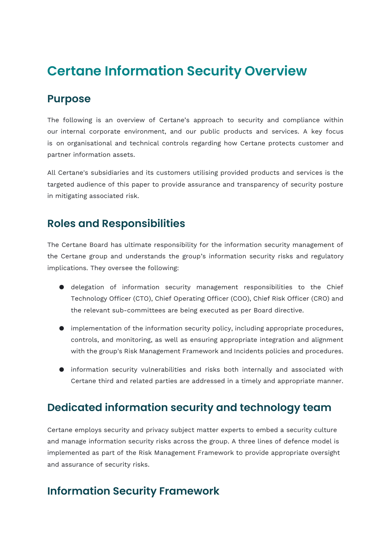# **Certane Information Security Overview**

#### **Purpose**

The following is an overview of Certane's approach to security and compliance within our internal corporate environment, and our public products and services. A key focus is on organisational and technical controls regarding how Certane protects customer and partner information assets.

All Certane's subsidiaries and its customers utilising provided products and services is the targeted audience of this paper to provide assurance and transparency of security posture in mitigating associated risk.

#### **Roles and Responsibilities**

The Certane Board has ultimate responsibility for the information security management of the Certane group and understands the group's information security risks and regulatory implications. They oversee the following:

- delegation of information security management responsibilities to the Chief Technology Officer (CTO), Chief Operating Officer (COO), Chief Risk Officer (CRO) and the relevant sub-committees are being executed as per Board directive.
- implementation of the information security policy, including appropriate procedures, controls, and monitoring, as well as ensuring appropriate integration and alignment with the group's Risk Management Framework and Incidents policies and procedures.
- information security vulnerabilities and risks both internally and associated with Certane third and related parties are addressed in a timely and appropriate manner.

# **Dedicated information security and technology team**

Certane employs security and privacy subject matter experts to embed a security culture and manage information security risks across the group. A three lines of defence model is implemented as part of the Risk Management Framework to provide appropriate oversight and assurance of security risks.

# **Information Security Framework**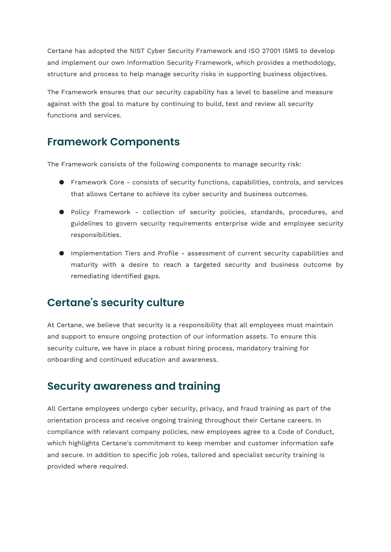Certane has adopted the NIST Cyber Security Framework and ISO 27001 ISMS to develop and implement our own Information Security Framework, which provides a methodology, structure and process to help manage security risks in supporting business objectives.

The Framework ensures that our security capability has a level to baseline and measure against with the goal to mature by continuing to build, test and review all security functions and services.

#### **Framework Components**

The Framework consists of the following components to manage security risk:

- Framework Core consists of security functions, capabilities, controls, and services that allows Certane to achieve its cyber security and business outcomes.
- Policy Framework collection of security policies, standards, procedures, and guidelines to govern security requirements enterprise wide and employee security responsibilities.
- Implementation Tiers and Profile assessment of current security capabilities and maturity with a desire to reach a targeted security and business outcome by remediating identified gaps.

# **Certane's security culture**

At Certane, we believe that security is a responsibility that all employees must maintain and support to ensure ongoing protection of our information assets. To ensure this security culture, we have in place a robust hiring process, mandatory training for onboarding and continued education and awareness.

#### **Security awareness and training**

All Certane employees undergo cyber security, privacy, and fraud training as part of the orientation process and receive ongoing training throughout their Certane careers. In compliance with relevant company policies, new employees agree to a Code of Conduct, which highlights Certane's commitment to keep member and customer information safe and secure. In addition to specific job roles, tailored and specialist security training is provided where required.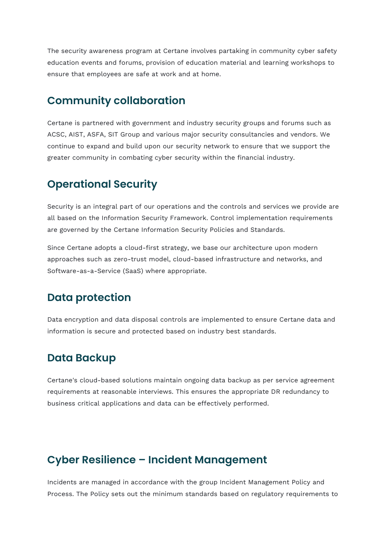The security awareness program at Certane involves partaking in community cyber safety education events and forums, provision of education material and learning workshops to ensure that employees are safe at work and at home.

# **Community collaboration**

Certane is partnered with government and industry security groups and forums such as ACSC, AIST, ASFA, SIT Group and various major security consultancies and vendors. We continue to expand and build upon our security network to ensure that we support the greater community in combating cyber security within the financial industry.

#### **Operational Security**

Security is an integral part of our operations and the controls and services we provide are all based on the Information Security Framework. Control implementation requirements are governed by the Certane Information Security Policies and Standards.

Since Certane adopts a cloud-first strategy, we base our architecture upon modern approaches such as zero-trust model, cloud-based infrastructure and networks, and Software-as-a-Service (SaaS) where appropriate.

# **Data protection**

Data encryption and data disposal controls are implemented to ensure Certane data and information is secure and protected based on industry best standards.

# **Data Backup**

Certane's cloud-based solutions maintain ongoing data backup as per service agreement requirements at reasonable interviews. This ensures the appropriate DR redundancy to business critical applications and data can be effectively performed.

# **Cyber Resilience – Incident Management**

Incidents are managed in accordance with the group Incident Management Policy and Process. The Policy sets out the minimum standards based on regulatory requirements to